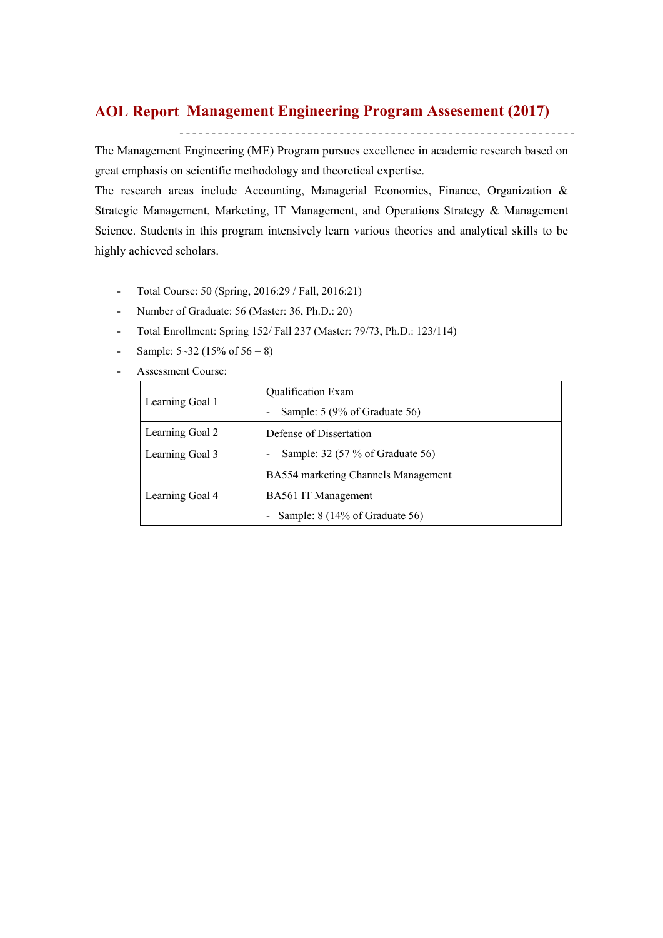# **Management Engineering Program Assesement (2017) AOL Report**

The Management Engineering (ME) Program pursues excellence in academic research based on great emphasis on scientific methodology and theoretical expertise.

The research areas include Accounting, Managerial Economics, Finance, Organization & Strategic Management, Marketing, IT Management, and Operations Strategy & Management Science. Students in this program intensively learn various theories and analytical skills to be highly achieved scholars.

- Total Course: 50 (Spring, 2016:29 / Fall, 2016:21)
- Number of Graduate: 56 (Master: 36, Ph.D.: 20)
- Total Enrollment: Spring 152/ Fall 237 (Master: 79/73, Ph.D.: 123/114)
- Sample:  $5 \sim 32$  (15% of  $56 = 8$ )
- Assessment Course:

| Learning Goal 1 | <b>Qualification Exam</b>                          |  |  |  |  |  |
|-----------------|----------------------------------------------------|--|--|--|--|--|
|                 | Sample: 5 (9% of Graduate 56)                      |  |  |  |  |  |
| Learning Goal 2 | Defense of Dissertation                            |  |  |  |  |  |
| Learning Goal 3 | Sample: $32(57\% \text{ of } \text{Graduate } 56)$ |  |  |  |  |  |
|                 | BA554 marketing Channels Management                |  |  |  |  |  |
| Learning Goal 4 | BA561 IT Management                                |  |  |  |  |  |
|                 | Sample: 8 (14% of Graduate 56)                     |  |  |  |  |  |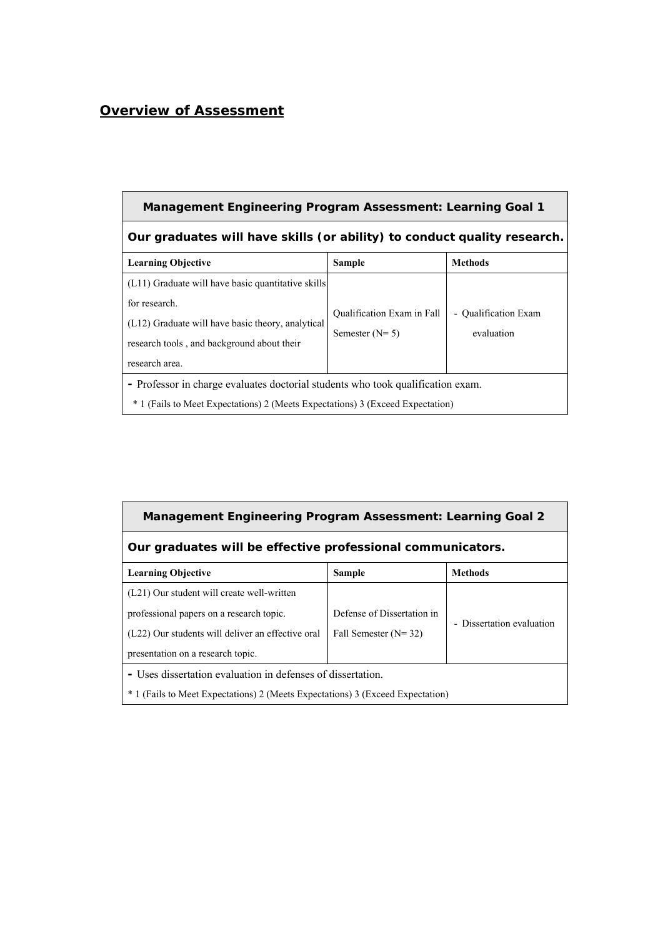# *Overview of Assessment*

| <b>Management Engineering Program Assessment: Learning Goal 1</b>                                                                                                                          |                                                       |                                    |  |  |  |  |  |  |  |
|--------------------------------------------------------------------------------------------------------------------------------------------------------------------------------------------|-------------------------------------------------------|------------------------------------|--|--|--|--|--|--|--|
| Our graduates will have skills (or ability) to conduct quality research.                                                                                                                   |                                                       |                                    |  |  |  |  |  |  |  |
| <b>Learning Objective</b>                                                                                                                                                                  | <b>Sample</b>                                         | <b>Methods</b>                     |  |  |  |  |  |  |  |
| (L11) Graduate will have basic quantitative skills<br>for research.<br>$(L12)$ Graduate will have basic theory, analytical<br>research tools, and background about their<br>research area. | <b>Qualification Exam in Fall</b><br>Semester $(N=5)$ | - Qualification Exam<br>evaluation |  |  |  |  |  |  |  |
| - Professor in charge evaluates doctorial students who took qualification exam.<br><sup>*</sup> 1 (Fails to Meet Expectations) 2 (Meets Expectations) 3 (Exceed Expectation)               |                                                       |                                    |  |  |  |  |  |  |  |

| <b>Management Engineering Program Assessment: Learning Goal 2</b>                         |                            |                           |  |  |  |  |  |  |  |
|-------------------------------------------------------------------------------------------|----------------------------|---------------------------|--|--|--|--|--|--|--|
| Our graduates will be effective professional communicators.                               |                            |                           |  |  |  |  |  |  |  |
| <b>Learning Objective</b>                                                                 | <b>Sample</b>              | <b>Methods</b>            |  |  |  |  |  |  |  |
| (L21) Our student will create well-written                                                |                            |                           |  |  |  |  |  |  |  |
| professional papers on a research topic.                                                  | Defense of Dissertation in | - Dissertation evaluation |  |  |  |  |  |  |  |
| (L22) Our students will deliver an effective oral                                         | Fall Semester $(N=32)$     |                           |  |  |  |  |  |  |  |
| presentation on a research topic.                                                         |                            |                           |  |  |  |  |  |  |  |
| - Uses dissertation evaluation in defenses of dissertation.                               |                            |                           |  |  |  |  |  |  |  |
| <sup>*</sup> 1 (Fails to Meet Expectations) 2 (Meets Expectations) 3 (Exceed Expectation) |                            |                           |  |  |  |  |  |  |  |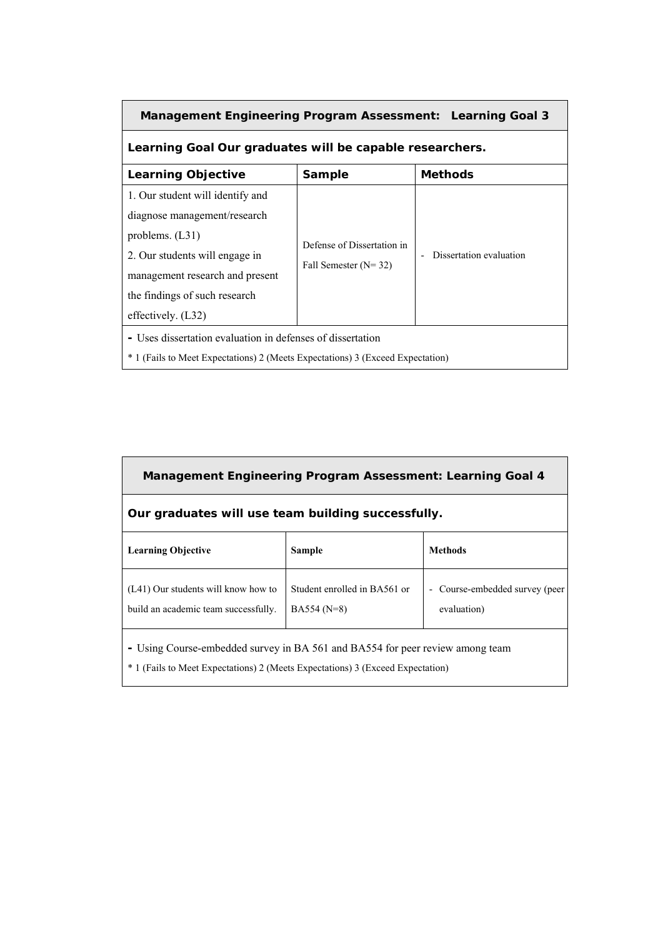| <b>Management Engineering Program Assessment: Learning Goal 3</b>                                                                                                                                                 |                                                      |                         |  |  |  |  |  |  |  |
|-------------------------------------------------------------------------------------------------------------------------------------------------------------------------------------------------------------------|------------------------------------------------------|-------------------------|--|--|--|--|--|--|--|
| Learning Goal Our graduates will be capable researchers.                                                                                                                                                          |                                                      |                         |  |  |  |  |  |  |  |
| <b>Methods</b><br><b>Learning Objective</b><br>Sample                                                                                                                                                             |                                                      |                         |  |  |  |  |  |  |  |
| 1. Our student will identify and<br>diagnose management/research<br>problems. $(L31)$<br>2. Our students will engage in<br>management research and present<br>the findings of such research<br>effectively. (L32) | Defense of Dissertation in<br>Fall Semester $(N=32)$ | Dissertation evaluation |  |  |  |  |  |  |  |
| - Uses dissertation evaluation in defenses of dissertation<br><sup>*</sup> 1 (Fails to Meet Expectations) 2 (Meets Expectations) 3 (Exceed Expectation)                                                           |                                                      |                         |  |  |  |  |  |  |  |

| <b>Management Engineering Program Assessment: Learning Goal 4</b>                                                                                                          |                                              |                                               |  |  |  |  |  |  |  |  |
|----------------------------------------------------------------------------------------------------------------------------------------------------------------------------|----------------------------------------------|-----------------------------------------------|--|--|--|--|--|--|--|--|
| Our graduates will use team building successfully.                                                                                                                         |                                              |                                               |  |  |  |  |  |  |  |  |
| <b>Learning Objective</b>                                                                                                                                                  | Sample                                       | <b>Methods</b>                                |  |  |  |  |  |  |  |  |
| (L41) Our students will know how to<br>build an academic team successfully.                                                                                                | Student enrolled in BA561 or<br>$BA554(N=8)$ | - Course-embedded survey (peer<br>evaluation) |  |  |  |  |  |  |  |  |
| - Using Course-embedded survey in BA 561 and BA554 for peer review among team<br><sup>*</sup> 1 (Fails to Meet Expectations) 2 (Meets Expectations) 3 (Exceed Expectation) |                                              |                                               |  |  |  |  |  |  |  |  |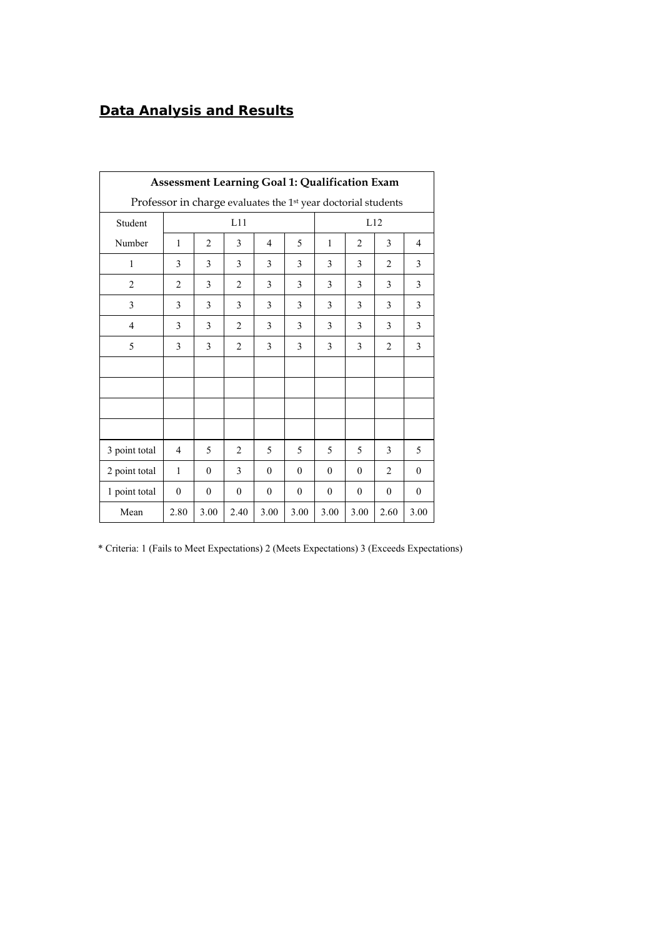# *Data Analysis and Results*

| <b>Assessment Learning Goal 1: Qualification Exam</b>                     |                |                          |                |                  |                          |                          |                  |                |                |  |
|---------------------------------------------------------------------------|----------------|--------------------------|----------------|------------------|--------------------------|--------------------------|------------------|----------------|----------------|--|
| Professor in charge evaluates the 1 <sup>st</sup> year doctorial students |                |                          |                |                  |                          |                          |                  |                |                |  |
| Student                                                                   |                |                          | L11            |                  |                          |                          |                  | L12            |                |  |
| Number                                                                    | $\mathbf{1}$   | $\overline{2}$           | 3              | 4                | 5                        | $\mathbf{1}$             | $\overline{2}$   | 3              | $\overline{4}$ |  |
| 1                                                                         | 3              | 3                        | 3              | 3                | 3                        | 3                        | 3                | $\overline{c}$ | 3              |  |
| $\overline{2}$                                                            | $\overline{2}$ | 3                        | $\overline{2}$ | 3                | 3                        | 3                        | 3                | 3              | 3              |  |
| 3                                                                         | 3              | 3                        | 3              | 3                | 3                        | 3                        | 3                | 3              | 3              |  |
| $\overline{4}$                                                            | 3              | 3                        | $\overline{c}$ | 3                | 3                        | 3                        | 3                | 3              | 3              |  |
| 5                                                                         | 3              | 3                        | $\overline{2}$ | 3                | 3                        | 3                        | 3                | $\overline{2}$ | 3              |  |
|                                                                           |                |                          |                |                  |                          |                          |                  |                |                |  |
|                                                                           |                |                          |                |                  |                          |                          |                  |                |                |  |
|                                                                           |                |                          |                |                  |                          |                          |                  |                |                |  |
|                                                                           |                |                          |                |                  |                          |                          |                  |                |                |  |
| 3 point total                                                             | $\overline{4}$ | $\overline{\phantom{0}}$ | $\overline{2}$ | 5                | $\overline{\mathcal{L}}$ | $\overline{\mathcal{L}}$ | 5                | $\mathcal{E}$  | 5              |  |
| 2 point total                                                             | 1              | $\boldsymbol{0}$         | 3              | $\boldsymbol{0}$ | $\theta$                 | $\theta$                 | $\boldsymbol{0}$ | 2              | $\mathbf{0}$   |  |
| 1 point total                                                             | $\mathbf{0}$   | $\mathbf{0}$             | $\theta$       | $\mathbf{0}$     | $\Omega$                 | $\theta$                 | $\theta$         | $\Omega$       | $\mathbf{0}$   |  |
| Mean                                                                      | 2.80           | 3.00                     | 2.40           | 3.00             | 3.00                     | 3.00                     | 3.00             | 2.60           | 3.00           |  |

\* Criteria: 1 (Fails to Meet Expectations) 2 (Meets Expectations) 3 (Exceeds Expectations)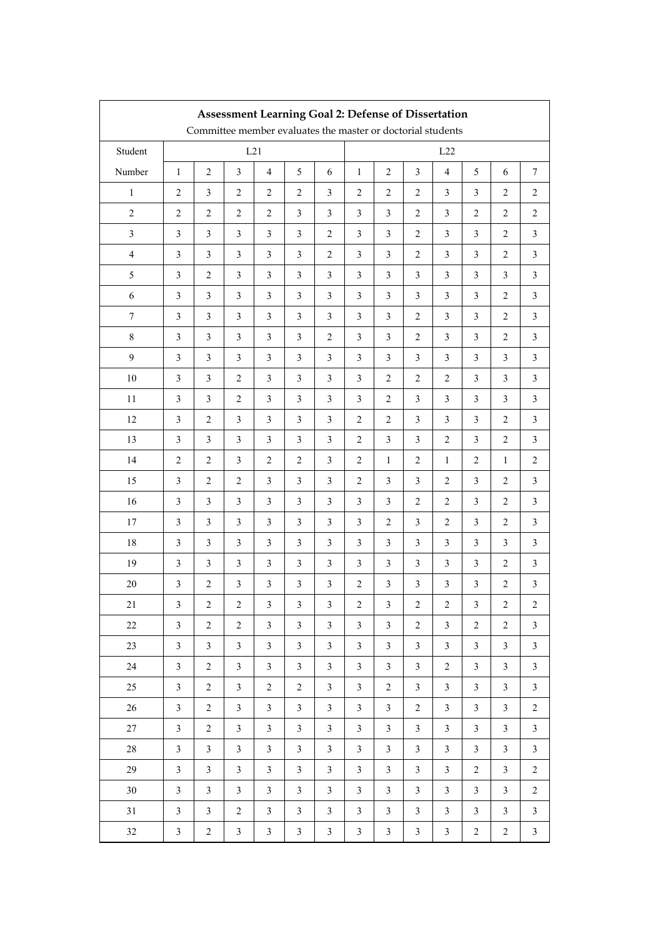| <b>Assessment Learning Goal 2: Defense of Dissertation</b><br>Committee member evaluates the master or doctorial students |                |                  |                         |                |                         |                |                |                |                         |                |                         |                |                |
|---------------------------------------------------------------------------------------------------------------------------|----------------|------------------|-------------------------|----------------|-------------------------|----------------|----------------|----------------|-------------------------|----------------|-------------------------|----------------|----------------|
|                                                                                                                           |                |                  |                         |                |                         |                |                |                |                         |                |                         |                |                |
| Student                                                                                                                   |                |                  |                         | L21            |                         |                | L22            |                |                         |                |                         |                |                |
| Number                                                                                                                    | $\mathbf{1}$   | $\overline{c}$   | $\mathfrak{Z}$          | 4              | $\mathfrak s$           | 6              | $\mathbf{1}$   | $\overline{c}$ | 3                       | $\overline{4}$ | 5                       | 6              | 7              |
| $\mathbf{1}$                                                                                                              | $\overline{2}$ | 3                | $\overline{c}$          | $\mathbf{2}$   | $\sqrt{2}$              | $\mathfrak{Z}$ | $\sqrt{2}$     | $\sqrt{2}$     | $\overline{c}$          | $\mathfrak{Z}$ | 3                       | $\overline{c}$ | $\overline{c}$ |
| $\sqrt{2}$                                                                                                                | $\overline{2}$ | $\overline{c}$   | $\overline{2}$          | $\overline{c}$ | $\mathfrak{Z}$          | $\mathfrak{Z}$ | $\mathfrak{Z}$ | 3              | $\overline{c}$          | 3              | $\mathbf{2}$            | $\overline{2}$ | $\overline{c}$ |
| $\mathfrak{Z}$                                                                                                            | 3              | 3                | 3                       | $\mathfrak{Z}$ | $\mathfrak{Z}$          | $\sqrt{2}$     | $\mathfrak{Z}$ | $\mathfrak{Z}$ | $\overline{c}$          | 3              | 3                       | $\overline{2}$ | 3              |
| $\overline{4}$                                                                                                            | 3              | $\mathfrak{Z}$   | 3                       | $\mathfrak{Z}$ | $\mathfrak{Z}$          | $\sqrt{2}$     | $\mathfrak{Z}$ | $\mathfrak{Z}$ | $\overline{c}$          | $\mathfrak{Z}$ | 3                       | $\overline{2}$ | $\mathfrak{Z}$ |
| 5                                                                                                                         | $\mathfrak{Z}$ | $\sqrt{2}$       | $\overline{\mathbf{3}}$ | $\mathfrak{Z}$ | $\overline{\mathbf{3}}$ | $\mathfrak{Z}$ | $\overline{3}$ | $\mathfrak{Z}$ | $\overline{\mathbf{3}}$ | 3              | $\overline{\mathbf{3}}$ | $\mathfrak{Z}$ | 3              |
| 6                                                                                                                         | 3              | $\mathfrak{Z}$   | 3                       | $\mathfrak{Z}$ | $\mathfrak{Z}$          | 3              | $\mathfrak{Z}$ | $\mathfrak{Z}$ | $\mathfrak{Z}$          | $\mathfrak{Z}$ | 3                       | $\overline{2}$ | 3              |
| $\tau$                                                                                                                    | 3              | 3                | 3                       | 3              | $\mathfrak{Z}$          | 3              | $\mathfrak{Z}$ | 3              | $\overline{c}$          | 3              | 3                       | $\overline{2}$ | 3              |
| $8\,$                                                                                                                     | 3              | 3                | 3                       | $\mathfrak{Z}$ | $\mathfrak{Z}$          | $\sqrt{2}$     | $\mathfrak{Z}$ | $\mathfrak{Z}$ | $\overline{c}$          | $\mathfrak{Z}$ | 3                       | $\sqrt{2}$     | 3              |
| 9                                                                                                                         | 3              | 3                | 3                       | 3              | 3                       | 3              | 3              | 3              | $\overline{3}$          | 3              | 3                       | 3              | 3              |
| 10                                                                                                                        | 3              | $\mathfrak{Z}$   | $\overline{2}$          | $\mathfrak{Z}$ | $\mathfrak{Z}$          | $\mathfrak{Z}$ | $\mathfrak{Z}$ | $\sqrt{2}$     | $\overline{c}$          | $\overline{c}$ | 3                       | 3              | 3              |
| 11                                                                                                                        | 3              | $\mathfrak{Z}$   | $\overline{2}$          | $\mathfrak{Z}$ | $\mathfrak{Z}$          | $\mathfrak{Z}$ | $\mathfrak{Z}$ | $\overline{c}$ | 3                       | 3              | 3                       | 3              | 3              |
| 12                                                                                                                        | 3              | 2                | 3                       | 3              | $\mathfrak{Z}$          | 3              | $\overline{2}$ | $\overline{c}$ | 3                       | 3              | 3                       | 2              | 3              |
| 13                                                                                                                        | 3              | 3                | 3                       | 3              | $\mathfrak{Z}$          | 3              | $\overline{2}$ | 3              | 3                       | $\overline{2}$ | 3                       | $\overline{2}$ | 3              |
| 14                                                                                                                        | $\overline{2}$ | $\mathbf{2}$     | 3                       | $\mathbf{2}$   | $\overline{c}$          | $\mathfrak{Z}$ | $\overline{2}$ | $\mathbf{1}$   | $\overline{c}$          | $\mathbf{1}$   | $\overline{c}$          | $\mathbf{1}$   | $\overline{c}$ |
| 15                                                                                                                        | 3              | $\overline{c}$   | $\overline{c}$          | 3              | 3                       | 3              | $\overline{2}$ | 3              | 3                       | $\overline{2}$ | 3                       | $\overline{2}$ | 3              |
| 16                                                                                                                        | $\mathfrak{Z}$ | $\mathfrak{Z}$   | $\overline{\mathbf{3}}$ | $\mathfrak{Z}$ | $\mathfrak{Z}$          | $\mathfrak{Z}$ | $\mathfrak{Z}$ | $\mathfrak{Z}$ | $\overline{2}$          | $\overline{c}$ | $\mathfrak{Z}$          | $\overline{2}$ | 3              |
| 17                                                                                                                        | 3              | $\mathfrak{Z}$   | $\overline{\mathbf{3}}$ | $\mathfrak{Z}$ | $\mathfrak{Z}$          | $\mathfrak{Z}$ | $\mathfrak{Z}$ | $\sqrt{2}$     | $\mathfrak{Z}$          | $\overline{c}$ | $\mathfrak{Z}$          | $\overline{c}$ | $\mathfrak{Z}$ |
| 18                                                                                                                        | 3              | $\mathfrak{Z}$   | 3                       | $\mathfrak{Z}$ | $\mathfrak{Z}$          | 3              | $\mathfrak{Z}$ | $\mathfrak{Z}$ | $\mathfrak{Z}$          | $\mathfrak{Z}$ | 3                       | $\mathfrak{Z}$ | 3              |
| 19                                                                                                                        | 3              | $\mathfrak{Z}$   | 3                       | $\mathfrak{Z}$ | 3                       | $\mathfrak{Z}$ | 3              | $\mathfrak{Z}$ | 3                       | $\mathfrak{Z}$ | 3                       | $\overline{c}$ | 3              |
| $20\,$                                                                                                                    | 3              | $\boldsymbol{2}$ | 3                       | 3              | $\mathfrak{Z}$          | $\mathfrak{Z}$ | $\overline{c}$ | $\mathfrak{Z}$ | 3                       | $\mathfrak{Z}$ | 3                       | $\overline{c}$ | 3              |
| 21                                                                                                                        | $\sqrt{3}$     | $\overline{c}$   | $\overline{c}$          | 3              | $\mathfrak{Z}$          | $\mathfrak{Z}$ | $\overline{c}$ | $\mathfrak{Z}$ | $\sqrt{2}$              | $\overline{c}$ | $\mathfrak{Z}$          | $\overline{c}$ | $\overline{c}$ |
| 22                                                                                                                        | $\mathfrak{Z}$ | $\overline{c}$   | $\overline{2}$          | $\mathfrak{Z}$ | $\mathfrak{Z}$          | $\mathfrak{Z}$ | $\mathfrak{Z}$ | $\mathfrak{Z}$ | $\overline{c}$          | $\mathfrak{Z}$ | $\overline{c}$          | $\sqrt{2}$     | $\mathfrak{Z}$ |
| 23                                                                                                                        | $\overline{3}$ | $\mathfrak{Z}$   | $\mathfrak{Z}$          | $\mathfrak{Z}$ | $\mathfrak{Z}$          | $\mathfrak{Z}$ | $\mathfrak{Z}$ | $\mathfrak{Z}$ | $\overline{3}$          | $\mathfrak{Z}$ | $\mathfrak{Z}$          | $\mathfrak{Z}$ | $\mathfrak{Z}$ |
| 24                                                                                                                        | $\mathfrak{Z}$ | $\overline{c}$   | 3                       | $\mathfrak{Z}$ | $\mathfrak{Z}$          | $\mathfrak{Z}$ | $\mathfrak{Z}$ | $\mathfrak{Z}$ | $\mathfrak{Z}$          | $\overline{c}$ | $\mathfrak{Z}$          | $\mathfrak{Z}$ | $\mathfrak{Z}$ |
| 25                                                                                                                        | $\mathfrak{Z}$ | $\overline{c}$   | 3                       | $\overline{c}$ | $\overline{2}$          | 3              | $\mathfrak{Z}$ | $\overline{2}$ | 3                       | $\mathfrak{Z}$ | $\mathfrak{Z}$          | $\mathfrak{Z}$ | $\mathfrak{Z}$ |
| $26\,$                                                                                                                    | $\mathfrak{Z}$ | $\overline{2}$   | $\overline{\mathbf{3}}$ | $\mathfrak{Z}$ | $\mathfrak{Z}$          | $\mathfrak{Z}$ | $\mathfrak{Z}$ | $\mathfrak{Z}$ | $\overline{2}$          | $\mathfrak{Z}$ | $\overline{3}$          | $\mathfrak{Z}$ | $\mathbf{2}$   |
| $27\,$                                                                                                                    | $\mathfrak{Z}$ | $\overline{2}$   | $\mathfrak{Z}$          | $\mathfrak{Z}$ | $\mathfrak{Z}$          | $\mathfrak{Z}$ | $\mathfrak{Z}$ | $\mathfrak{Z}$ | $\mathfrak{Z}$          | $\mathfrak{Z}$ | $\mathfrak{Z}$          | $\mathfrak{Z}$ | $\mathfrak{Z}$ |
| $28\,$                                                                                                                    | $\mathfrak{Z}$ | $\mathfrak{Z}$   | $\mathfrak{Z}$          | $\mathfrak{Z}$ | $\mathfrak{Z}$          | $\mathfrak{Z}$ | $\mathfrak{Z}$ | $\mathfrak{Z}$ | $\mathfrak{Z}$          | $\mathfrak{Z}$ | $\mathfrak{Z}$          | $\mathfrak{Z}$ | $\mathfrak{Z}$ |
| 29                                                                                                                        | $\mathfrak{Z}$ | $\mathfrak{Z}$   | $\mathfrak{Z}$          | $\mathfrak{Z}$ | $\mathfrak{Z}$          | $\mathfrak{Z}$ | $\mathfrak{Z}$ | $\mathfrak{Z}$ | $\overline{3}$          | $\mathfrak{Z}$ | $\sqrt{2}$              | $\mathfrak{Z}$ | $\sqrt{2}$     |
| $30\,$                                                                                                                    | $\mathfrak{Z}$ | $\mathfrak{Z}$   | $\mathfrak{Z}$          | $\mathfrak{Z}$ | $\mathfrak{Z}$          | $\mathfrak{Z}$ | $\mathfrak{Z}$ | $\mathfrak{Z}$ | $\mathfrak{Z}$          | $\mathfrak{Z}$ | $\mathfrak{Z}$          | $\mathfrak{Z}$ | $\overline{c}$ |
| 31                                                                                                                        | $\mathfrak{Z}$ | $\mathfrak{Z}$   | $\boldsymbol{2}$        | $\mathfrak{Z}$ | $\mathfrak{Z}$          | $\mathfrak{Z}$ | $\mathfrak{Z}$ | $\mathfrak{Z}$ | $\mathfrak{Z}$          | $\mathfrak{Z}$ | $\mathfrak{Z}$          | $\mathfrak{Z}$ | $\mathfrak{Z}$ |
| 32                                                                                                                        | $\mathfrak{Z}$ | $\overline{c}$   | $\overline{3}$          | $\mathfrak{Z}$ | $\mathfrak{Z}$          | $\mathfrak{Z}$ | $\overline{3}$ | $\mathfrak{Z}$ | $\overline{3}$          | $\mathfrak{Z}$ | $\overline{2}$          | $\overline{2}$ | $\mathfrak{Z}$ |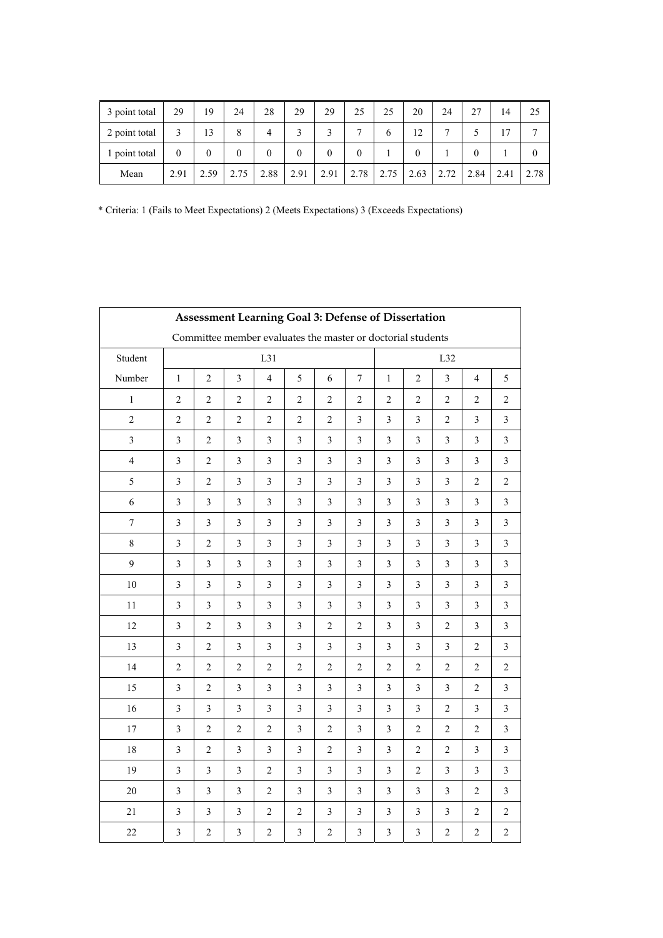| 3 point total | 29           | 19             | 24       | 28       | 29       | 29       | 25   | 25   | 20   | 24           | 27   | 14   | 25   |
|---------------|--------------|----------------|----------|----------|----------|----------|------|------|------|--------------|------|------|------|
| 2 point total |              | 13             | 8        | 4        |          |          |      | 6    | 12   | $\mathbf{r}$ |      | 17   |      |
| 1 point total | $\mathbf{0}$ | $\overline{0}$ | $\Omega$ | $\Omega$ | $\Omega$ | $\Omega$ | 0    |      |      |              |      |      | 0    |
| Mean          | 2.91         | 2.59           | 2.75     | 2.88     | 2.91     | 2.91     | 2.78 | 2.75 | 2.63 | 2.72         | 2.84 | 2.41 | 2.78 |

\* Criteria: 1 (Fails to Meet Expectations) 2 (Meets Expectations) 3 (Exceeds Expectations)

| Assessment Learning Goal 3: Defense of Dissertation |                         |                |                         |                                                             |                         |                         |                |                |                |                |                         |                |
|-----------------------------------------------------|-------------------------|----------------|-------------------------|-------------------------------------------------------------|-------------------------|-------------------------|----------------|----------------|----------------|----------------|-------------------------|----------------|
|                                                     |                         |                |                         | Committee member evaluates the master or doctorial students |                         |                         |                |                |                |                |                         |                |
| Student                                             |                         | L31            |                         |                                                             |                         |                         |                |                |                | L32            |                         |                |
| Number                                              | $\,1$                   | $\overline{c}$ | 3                       | $\overline{4}$                                              | 5                       | 6                       | $\tau$         | $\mathbf{1}$   | $\overline{2}$ | $\mathfrak{Z}$ | $\overline{\mathbf{4}}$ | 5              |
| $\mathbf{1}$                                        | $\overline{c}$          | $\overline{c}$ | $\overline{c}$          | $\sqrt{2}$                                                  | $\overline{2}$          | $\overline{c}$          | $\mathbf{2}$   | $\sqrt{2}$     | 2              | $\sqrt{2}$     | $\overline{c}$          | $\overline{c}$ |
| $\overline{c}$                                      | $\overline{c}$          | $\overline{2}$ | $\overline{2}$          | $\overline{c}$                                              | $\overline{2}$          | $\overline{2}$          | 3              | $\overline{3}$ | 3              | $\overline{2}$ | 3                       | 3              |
| $\overline{3}$                                      | $\overline{3}$          | $\overline{c}$ | $\overline{\mathbf{3}}$ | 3                                                           | $\mathfrak{Z}$          | $\overline{\mathbf{3}}$ | 3              | $\mathfrak{Z}$ | $\mathfrak{Z}$ | $\mathfrak{Z}$ | $\overline{3}$          | 3              |
| $\overline{4}$                                      | $\mathfrak{Z}$          | $\overline{2}$ | $\overline{\mathbf{3}}$ | $\mathfrak{Z}$                                              | 3                       | $\mathfrak{Z}$          | 3              | 3              | 3              | $\overline{3}$ | $\overline{3}$          | 3              |
| 5                                                   | $\overline{\mathbf{3}}$ | $\overline{2}$ | $\overline{\mathbf{3}}$ | $\overline{\mathbf{3}}$                                     | $\overline{\mathbf{3}}$ | $\overline{\mathbf{3}}$ | 3              | 3              | 3              | $\overline{3}$ | $\overline{c}$          | $\mathfrak{2}$ |
| $\sqrt{6}$                                          | $\mathfrak{Z}$          | $\overline{3}$ | $\overline{\mathbf{3}}$ | $\overline{\mathbf{3}}$                                     | 3                       | $\overline{\mathbf{3}}$ | 3              | $\overline{3}$ | $\mathfrak{Z}$ | $\mathfrak{Z}$ | $\overline{3}$          | $\mathfrak{Z}$ |
| $\boldsymbol{7}$                                    | 3                       | 3              | 3                       | 3                                                           | 3                       | 3                       | 3              | 3              | 3              | 3              | 3                       | 3              |
| $\,8\,$                                             | $\mathfrak{Z}$          | $\overline{c}$ | $\mathfrak{Z}$          | $\mathfrak{Z}$                                              | $\mathfrak{Z}$          | $\mathfrak{Z}$          | $\mathfrak{Z}$ | $\mathfrak{Z}$ | $\mathfrak{Z}$ | $\mathfrak{Z}$ | 3                       | $\mathfrak{Z}$ |
| 9                                                   | 3                       | 3              | 3                       | 3                                                           | 3                       | $\overline{3}$          | 3              | 3              | 3              | 3              | 3                       | 3              |
| 10                                                  | 3                       | $\mathfrak{Z}$ | 3                       | $\overline{\mathbf{3}}$                                     | $\overline{\mathbf{3}}$ | $\mathfrak{Z}$          | 3              | $\mathfrak{Z}$ | $\mathfrak{Z}$ | $\mathfrak{Z}$ | 3                       | 3              |
| 11                                                  | 3                       | $\overline{3}$ | $\overline{\mathbf{3}}$ | $\mathfrak{Z}$                                              | $\overline{3}$          | $\overline{3}$          | 3              | $\mathfrak{Z}$ | $\mathfrak{Z}$ | $\overline{3}$ | $\overline{3}$          | 3              |
| 12                                                  | $\overline{\mathbf{3}}$ | $\overline{2}$ | $\overline{\mathbf{3}}$ | $\overline{\mathbf{3}}$                                     | $\mathfrak{Z}$          | $\overline{c}$          | $\overline{c}$ | $\mathfrak{Z}$ | $\mathfrak{Z}$ | $\overline{c}$ | $\overline{\mathbf{3}}$ | 3              |
| 13                                                  | 3                       | $\overline{2}$ | $\overline{3}$          | $\mathfrak{Z}$                                              | $\overline{3}$          | $\overline{3}$          | 3              | $\overline{3}$ | $\mathfrak{Z}$ | $\mathfrak{Z}$ | $\overline{2}$          | 3              |
| 14                                                  | $\overline{2}$          | $\overline{2}$ | $\overline{2}$          | $\overline{c}$                                              | $\overline{2}$          | $\overline{c}$          | $\overline{c}$ | $\overline{2}$ | $\overline{c}$ | $\overline{c}$ | $\overline{2}$          | $\overline{2}$ |
| 15                                                  | $\mathfrak{Z}$          | $\sqrt{2}$     | $\mathfrak{Z}$          | 3                                                           | $\mathfrak{Z}$          | $\mathfrak{Z}$          | $\mathfrak{Z}$ | $\mathfrak{Z}$ | $\mathfrak{Z}$ | $\mathfrak{Z}$ | $\overline{c}$          | $\mathfrak{Z}$ |
| 16                                                  | 3                       | 3              | 3                       | 3                                                           | 3                       | 3                       | 3              | 3              | 3              | $\overline{c}$ | 3                       | $\mathfrak{Z}$ |
| 17                                                  | $\mathfrak{Z}$          | $\overline{c}$ | $\overline{c}$          | $\sqrt{2}$                                                  | 3                       | $\overline{2}$          | $\mathfrak{Z}$ | $\overline{3}$ | $\overline{c}$ | $\overline{c}$ | $\overline{2}$          | $\mathfrak{Z}$ |
| 18                                                  | 3                       | $\overline{c}$ | 3                       | 3                                                           | 3                       | $\overline{2}$          | 3              | 3              | 2              | $\overline{2}$ | 3                       | 3              |
| 19                                                  | 3                       | $\mathfrak{Z}$ | $\overline{3}$          | $\sqrt{2}$                                                  | $\overline{3}$          | $\mathfrak{Z}$          | $\mathfrak{Z}$ | $\mathfrak{Z}$ | $\overline{c}$ | $\mathfrak{Z}$ | $\overline{3}$          | $\mathfrak{Z}$ |
| 20                                                  | 3                       | 3              | $\overline{3}$          | $\overline{c}$                                              | $\overline{3}$          | $\overline{3}$          | 3              | $\overline{3}$ | $\mathfrak{Z}$ | $\mathfrak{Z}$ | $\overline{2}$          | 3              |
| 21                                                  | $\mathfrak{Z}$          | $\mathfrak{Z}$ | $\overline{3}$          | $\sqrt{2}$                                                  | $\overline{2}$          | $\mathfrak{Z}$          | 3              | $\overline{3}$ | 3              | $\mathfrak{Z}$ | $\overline{2}$          | $\overline{c}$ |
| 22                                                  | 3                       | $\overline{c}$ | 3                       | $\overline{c}$                                              | $\overline{3}$          | $\overline{c}$          | 3              | 3              | 3              | $\overline{c}$ | $\overline{c}$          | $\overline{c}$ |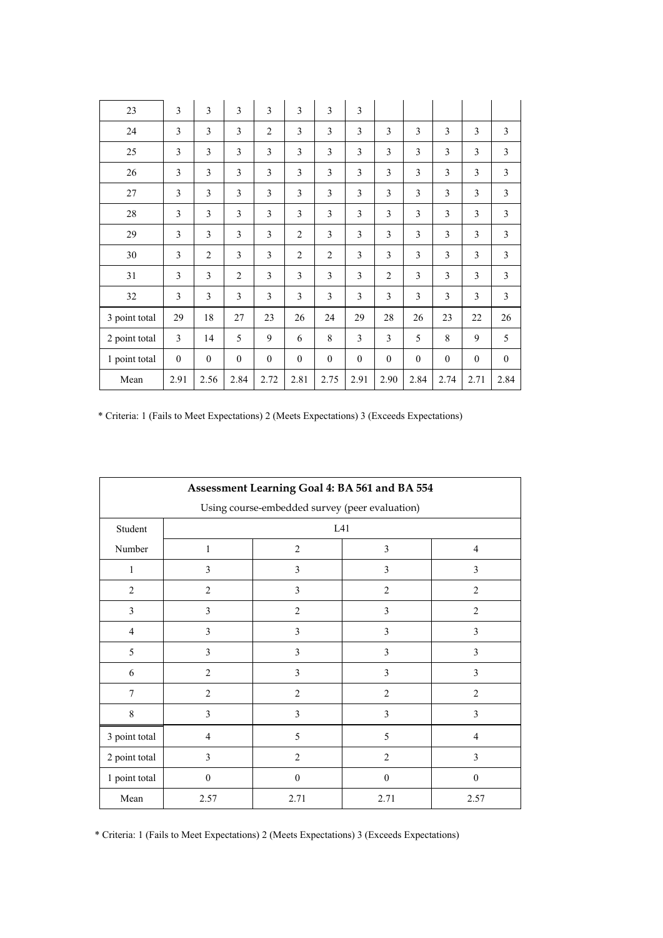| 23            | 3                | 3                | 3              | 3              | 3                | 3              | 3            |                |                  |                  |              |              |
|---------------|------------------|------------------|----------------|----------------|------------------|----------------|--------------|----------------|------------------|------------------|--------------|--------------|
| 24            | 3                | 3                | 3              | $\overline{2}$ | 3                | 3              | 3            | 3              | 3                | 3                | 3            | 3            |
| 25            | $\overline{3}$   | 3                | 3              | 3              | 3                | 3              | 3            | 3              | 3                | 3                | 3            | 3            |
| 26            | 3                | 3                | 3              | 3              | 3                | 3              | 3            | 3              | 3                | 3                | 3            | 3            |
| 27            | 3                | 3                | 3              | 3              | 3                | 3              | 3            | 3              | 3                | 3                | 3            | 3            |
| 28            | 3                | 3                | 3              | 3              | 3                | 3              | 3            | 3              | 3                | 3                | 3            | 3            |
| 29            | 3                | 3                | 3              | 3              | $\overline{2}$   | 3              | 3            | 3              | 3                | 3                | 3            | 3            |
| 30            | 3                | $\overline{2}$   | 3              | 3              | $\overline{2}$   | $\overline{2}$ | 3            | 3              | 3                | 3                | 3            | 3            |
| 31            | 3                | 3                | $\overline{2}$ | 3              | 3                | 3              | 3            | $\overline{2}$ | 3                | 3                | 3            | 3            |
| 32            | 3                | 3                | 3              | 3              | 3                | 3              | 3            | 3              | 3                | 3                | 3            | 3            |
| 3 point total | 29               | 18               | 27             | 23             | 26               | 24             | 29           | 28             | 26               | 23               | 22           | 26           |
| 2 point total | 3                | 14               | 5              | 9              | 6                | 8              | 3            | 3              | 5                | 8                | 9            | 5            |
| 1 point total | $\boldsymbol{0}$ | $\boldsymbol{0}$ | $\mathbf{0}$   | $\mathbf{0}$   | $\boldsymbol{0}$ | $\mathbf{0}$   | $\mathbf{0}$ | $\mathbf{0}$   | $\boldsymbol{0}$ | $\boldsymbol{0}$ | $\mathbf{0}$ | $\mathbf{0}$ |
| Mean          | 2.91             | 2.56             | 2.84           | 2.72           | 2.81             | 2.75           | 2.91         | 2.90           | 2.84             | 2.74             | 2.71         | 2.84         |

\* Criteria: 1 (Fails to Meet Expectations) 2 (Meets Expectations) 3 (Exceeds Expectations)

| Assessment Learning Goal 4: BA 561 and BA 554  |                |                |                |                |  |  |  |  |  |  |
|------------------------------------------------|----------------|----------------|----------------|----------------|--|--|--|--|--|--|
| Using course-embedded survey (peer evaluation) |                |                |                |                |  |  |  |  |  |  |
| Student                                        |                | L41            |                |                |  |  |  |  |  |  |
| Number                                         | $\mathbf{1}$   | 2              | 3              |                |  |  |  |  |  |  |
| $\mathbf{1}$                                   | 3              | 3              | 3              | 3              |  |  |  |  |  |  |
| $\overline{c}$                                 | $\overline{2}$ | $\mathfrak{Z}$ | $\mathfrak{2}$ | $\overline{2}$ |  |  |  |  |  |  |
| $\overline{3}$                                 | 3              | $\overline{2}$ | 3              | 2              |  |  |  |  |  |  |
| $\overline{4}$                                 | 3              | $\mathfrak{Z}$ | 3              | 3              |  |  |  |  |  |  |
| 5                                              | 3              | 3              | 3              | 3              |  |  |  |  |  |  |
| 6                                              | $\overline{2}$ | 3              | 3              | 3              |  |  |  |  |  |  |
| $\tau$                                         | $\overline{2}$ | $\overline{2}$ | $\overline{2}$ | 2              |  |  |  |  |  |  |
| 8                                              | 3              | 3              | 3              | 3              |  |  |  |  |  |  |
| 3 point total                                  | $\overline{4}$ | 5              | 5              | $\overline{4}$ |  |  |  |  |  |  |
| 2 point total                                  | 3              | $\overline{2}$ | $\overline{2}$ | 3              |  |  |  |  |  |  |
| 1 point total                                  | $\mathbf{0}$   | $\mathbf{0}$   | $\theta$       | $\mathbf{0}$   |  |  |  |  |  |  |
| Mean                                           | 2.57           | 2.71           | 2.71           | 2.57           |  |  |  |  |  |  |

\* Criteria: 1 (Fails to Meet Expectations) 2 (Meets Expectations) 3 (Exceeds Expectations)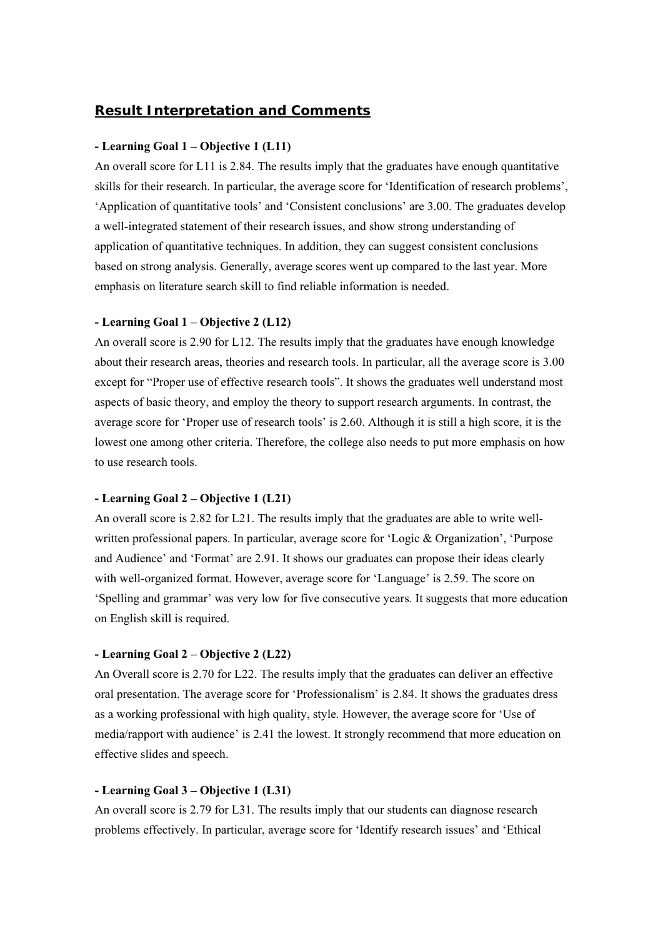## *Result Interpretation and Comments*

#### **- Learning Goal 1 – Objective 1 (L11)**

An overall score for L11 is 2.84. The results imply that the graduates have enough quantitative skills for their research. In particular, the average score for 'Identification of research problems', 'Application of quantitative tools' and 'Consistent conclusions' are 3.00. The graduates develop a well-integrated statement of their research issues, and show strong understanding of application of quantitative techniques. In addition, they can suggest consistent conclusions based on strong analysis. Generally, average scores went up compared to the last year. More emphasis on literature search skill to find reliable information is needed.

#### **- Learning Goal 1 – Objective 2 (L12)**

An overall score is 2.90 for L12. The results imply that the graduates have enough knowledge about their research areas, theories and research tools. In particular, all the average score is 3.00 except for "Proper use of effective research tools". It shows the graduates well understand most aspects of basic theory, and employ the theory to support research arguments. In contrast, the average score for 'Proper use of research tools' is 2.60. Although it is still a high score, it is the lowest one among other criteria. Therefore, the college also needs to put more emphasis on how to use research tools.

### **- Learning Goal 2 – Objective 1 (L21)**

An overall score is 2.82 for L21. The results imply that the graduates are able to write wellwritten professional papers. In particular, average score for 'Logic & Organization', 'Purpose and Audience' and 'Format' are 2.91. It shows our graduates can propose their ideas clearly with well-organized format. However, average score for 'Language' is 2.59. The score on 'Spelling and grammar' was very low for five consecutive years. It suggests that more education on English skill is required.

#### **- Learning Goal 2 – Objective 2 (L22)**

An Overall score is 2.70 for L22. The results imply that the graduates can deliver an effective oral presentation. The average score for 'Professionalism' is 2.84. It shows the graduates dress as a working professional with high quality, style. However, the average score for 'Use of media/rapport with audience' is 2.41 the lowest. It strongly recommend that more education on effective slides and speech.

### **- Learning Goal 3 – Objective 1 (L31)**

An overall score is 2.79 for L31. The results imply that our students can diagnose research problems effectively. In particular, average score for 'Identify research issues' and 'Ethical